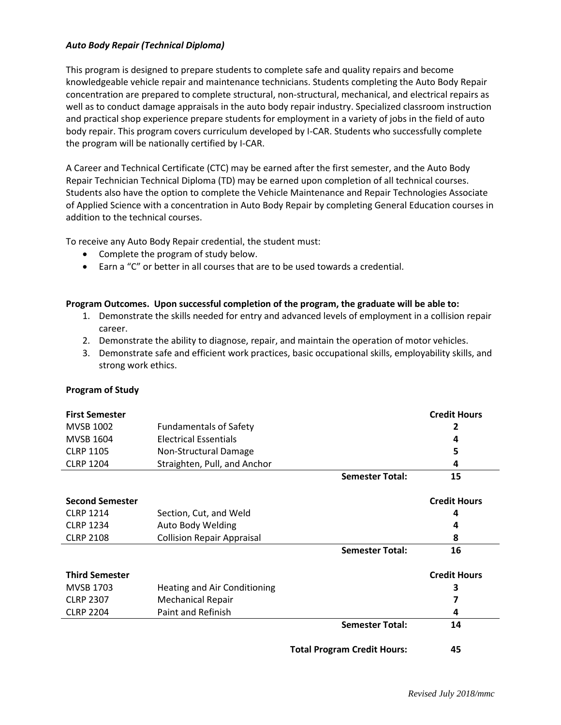## *Auto Body Repair (Technical Diploma)*

This program is designed to prepare students to complete safe and quality repairs and become knowledgeable vehicle repair and maintenance technicians. Students completing the Auto Body Repair concentration are prepared to complete structural, non-structural, mechanical, and electrical repairs as well as to conduct damage appraisals in the auto body repair industry. Specialized classroom instruction and practical shop experience prepare students for employment in a variety of jobs in the field of auto body repair. This program covers curriculum developed by I-CAR. Students who successfully complete the program will be nationally certified by I-CAR.

A Career and Technical Certificate (CTC) may be earned after the first semester, and the Auto Body Repair Technician Technical Diploma (TD) may be earned upon completion of all technical courses. Students also have the option to complete the Vehicle Maintenance and Repair Technologies Associate of Applied Science with a concentration in Auto Body Repair by completing General Education courses in addition to the technical courses.

To receive any Auto Body Repair credential, the student must:

- Complete the program of study below.
- Earn a "C" or better in all courses that are to be used towards a credential.

## **Program Outcomes. Upon successful completion of the program, the graduate will be able to:**

- 1. Demonstrate the skills needed for entry and advanced levels of employment in a collision repair career.
- 2. Demonstrate the ability to diagnose, repair, and maintain the operation of motor vehicles.
- 3. Demonstrate safe and efficient work practices, basic occupational skills, employability skills, and strong work ethics.

## **Program of Study**

| <b>First Semester</b>  |                                   |                                    | <b>Credit Hours</b> |
|------------------------|-----------------------------------|------------------------------------|---------------------|
| <b>MVSB 1002</b>       | <b>Fundamentals of Safety</b>     |                                    | 2                   |
| <b>MVSB 1604</b>       | <b>Electrical Essentials</b>      |                                    | 4                   |
| <b>CLRP 1105</b>       | Non-Structural Damage             |                                    | 5                   |
| <b>CLRP 1204</b>       | Straighten, Pull, and Anchor      |                                    | 4                   |
|                        |                                   | <b>Semester Total:</b>             | 15                  |
| <b>Second Semester</b> |                                   |                                    | <b>Credit Hours</b> |
| <b>CLRP 1214</b>       | Section, Cut, and Weld            |                                    | 4                   |
| <b>CLRP 1234</b>       | Auto Body Welding                 |                                    | 4                   |
| <b>CLRP 2108</b>       | <b>Collision Repair Appraisal</b> |                                    | 8                   |
|                        |                                   | <b>Semester Total:</b>             | 16                  |
| <b>Third Semester</b>  |                                   |                                    | <b>Credit Hours</b> |
| <b>MVSB 1703</b>       | Heating and Air Conditioning      |                                    | 3                   |
| <b>CLRP 2307</b>       | <b>Mechanical Repair</b>          |                                    |                     |
| <b>CLRP 2204</b>       | Paint and Refinish                |                                    | 4                   |
|                        |                                   | <b>Semester Total:</b>             | 14                  |
|                        |                                   | <b>Total Program Credit Hours:</b> | 45                  |